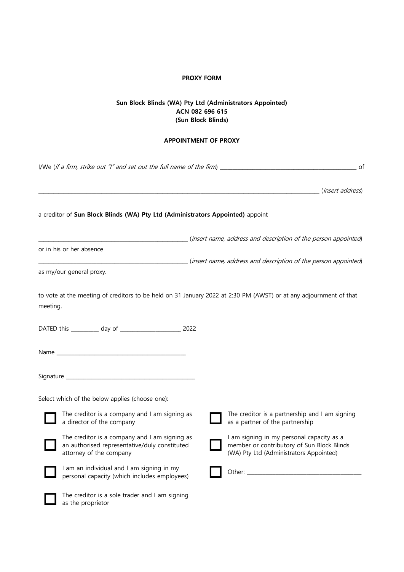## **PROXY FORM**

## **Sun Block Blinds (WA) Pty Ltd (Administrators Appointed) ACN 082 696 615 (Sun Block Blinds)**

## **APPOINTMENT OF PROXY**

| I/We (if a firm, strike out "I" and set out the full name of the firm) $\frac{1}{\sqrt{2}}$<br>of |                                                                                                                           |  |                                                                                                                                                                                                                                |  |
|---------------------------------------------------------------------------------------------------|---------------------------------------------------------------------------------------------------------------------------|--|--------------------------------------------------------------------------------------------------------------------------------------------------------------------------------------------------------------------------------|--|
|                                                                                                   |                                                                                                                           |  |                                                                                                                                                                                                                                |  |
|                                                                                                   | a creditor of Sun Block Blinds (WA) Pty Ltd (Administrators Appointed) appoint                                            |  |                                                                                                                                                                                                                                |  |
|                                                                                                   | or in his or her absence                                                                                                  |  | (insert name, address and description of the person appointed)                                                                                                                                                                 |  |
|                                                                                                   |                                                                                                                           |  | (insert name, address and description of the person appointed)                                                                                                                                                                 |  |
|                                                                                                   | as my/our general proxy.                                                                                                  |  |                                                                                                                                                                                                                                |  |
| meeting.                                                                                          | to vote at the meeting of creditors to be held on 31 January 2022 at 2:30 PM (AWST) or at any adjournment of that         |  |                                                                                                                                                                                                                                |  |
|                                                                                                   |                                                                                                                           |  |                                                                                                                                                                                                                                |  |
|                                                                                                   |                                                                                                                           |  |                                                                                                                                                                                                                                |  |
|                                                                                                   |                                                                                                                           |  |                                                                                                                                                                                                                                |  |
|                                                                                                   | Select which of the below applies (choose one):                                                                           |  |                                                                                                                                                                                                                                |  |
|                                                                                                   | The creditor is a company and I am signing as<br>a director of the company                                                |  | The creditor is a partnership and I am signing<br>as a partner of the partnership                                                                                                                                              |  |
|                                                                                                   | The creditor is a company and I am signing as<br>an authorised representative/duly constituted<br>attorney of the company |  | I am signing in my personal capacity as a<br>member or contributory of Sun Block Blinds<br>(WA) Pty Ltd (Administrators Appointed)                                                                                             |  |
|                                                                                                   | I am an individual and I am signing in my<br>personal capacity (which includes employees)                                 |  | Other: when the contract of the contract of the contract of the contract of the contract of the contract of the contract of the contract of the contract of the contract of the contract of the contract of the contract of th |  |
|                                                                                                   | The creditor is a sole trader and I am signing<br>as the proprietor                                                       |  |                                                                                                                                                                                                                                |  |